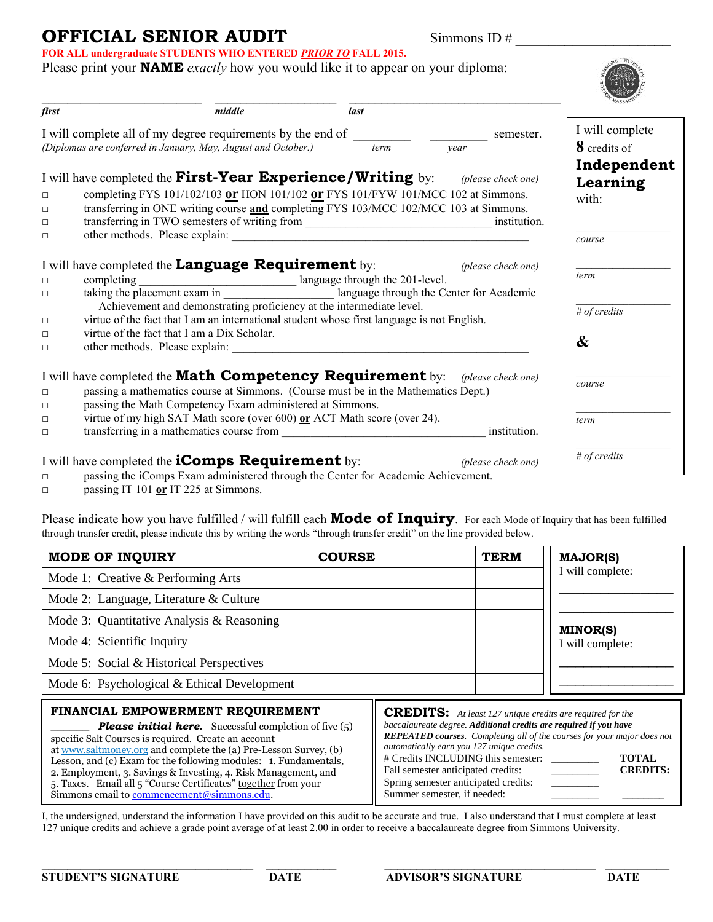### **OFFICIAL SENIOR AUDIT** Simmons ID # **FOR ALL undergraduate STUDENTS WHO ENTERED** *PRIOR TO* **FALL 2015.**

S UNIL **SHOW AND REA** 

| first                                                                                                                        |                                                                                              | middle                                                                                                                                                                                                                                                                                                        | last |                    |                                     |
|------------------------------------------------------------------------------------------------------------------------------|----------------------------------------------------------------------------------------------|---------------------------------------------------------------------------------------------------------------------------------------------------------------------------------------------------------------------------------------------------------------------------------------------------------------|------|--------------------|-------------------------------------|
| I will complete all of my degree requirements by the end of<br>(Diplomas are conferred in January, May, August and October.) |                                                                                              |                                                                                                                                                                                                                                                                                                               | term | semester.<br>vear  | I will complete<br>8 credits of     |
| $\Box$<br>$\Box$<br>$\Box$<br>$\Box$                                                                                         | I will have completed the <b>First-Year Experience/Writing</b> by: <i>(please check one)</i> | completing FYS 101/102/103 or HON 101/102 or FYS 101/FYW 101/MCC 102 at Simmons.<br>transferring in ONE writing course and completing FYS 103/MCC 102/MCC 103 at Simmons.<br>transferring in TWO semesters of writing from ___________________________________ institution.<br>other methods. Please explain: |      |                    | Independent<br>Learning<br>with:    |
| $\Box$<br>$\Box$                                                                                                             | I will have completed the <b>Language Requirement</b> by:<br>completing                      | anguage through the 201-level.<br>taking the placement exam in __________________________ language through the Center for Academic<br>Achievement and demonstrating proficiency at the intermediate level.                                                                                                    |      | (please check one) | course<br>term                      |
| $\Box$<br>$\Box$<br>$\Box$                                                                                                   | virtue of the fact that I am a Dix Scholar.                                                  | virtue of the fact that I am an international student whose first language is not English.                                                                                                                                                                                                                    |      |                    | $#$ of credits<br>$\boldsymbol{\&}$ |
| $\Box$<br>$\Box$<br>$\Box$                                                                                                   | I will have completed the <b>Math Competency Requirement</b> by: <i>(please check one)</i>   | passing a mathematics course at Simmons. (Course must be in the Mathematics Dept.)<br>passing the Math Competency Exam administered at Simmons.<br>virtue of my high SAT Math score (over 600) or ACT Math score (over 24).                                                                                   |      |                    | course<br>term                      |
| $\Box$                                                                                                                       | I will have completed the <b>iComps Requirement</b> by:                                      |                                                                                                                                                                                                                                                                                                               |      | (please check one) | # of credits                        |

□ passing the iComps Exam administered through the Center for Academic Achievement.

Please print your **NAME** *exactly* how you would like it to appear on your diploma:

□ passing IT 101 **or** IT 225 at Simmons.

Please indicate how you have fulfilled / will fulfill each **Mode of Inquiry**. For each Mode of Inquiry that has been fulfilled through transfer credit, please indicate this by writing the words "through transfer credit" on the line provided below.

| <b>MODE OF INQUIRY</b>                                                                                                                                                                                                                                                                                                                                                                                                                   | <b>COURSE</b>                                                                                                                                                                                                                                                                                                                                                                                                                |  | <b>TERM</b> | <b>MAJOR(S)</b>                     |
|------------------------------------------------------------------------------------------------------------------------------------------------------------------------------------------------------------------------------------------------------------------------------------------------------------------------------------------------------------------------------------------------------------------------------------------|------------------------------------------------------------------------------------------------------------------------------------------------------------------------------------------------------------------------------------------------------------------------------------------------------------------------------------------------------------------------------------------------------------------------------|--|-------------|-------------------------------------|
| Mode 1: Creative & Performing Arts                                                                                                                                                                                                                                                                                                                                                                                                       |                                                                                                                                                                                                                                                                                                                                                                                                                              |  |             | I will complete:                    |
| Mode 2: Language, Literature & Culture                                                                                                                                                                                                                                                                                                                                                                                                   |                                                                                                                                                                                                                                                                                                                                                                                                                              |  |             |                                     |
| Mode 3: Quantitative Analysis & Reasoning                                                                                                                                                                                                                                                                                                                                                                                                |                                                                                                                                                                                                                                                                                                                                                                                                                              |  |             |                                     |
| Mode 4: Scientific Inquiry                                                                                                                                                                                                                                                                                                                                                                                                               |                                                                                                                                                                                                                                                                                                                                                                                                                              |  |             | <b>MINOR(S)</b><br>I will complete: |
| Mode 5: Social & Historical Perspectives                                                                                                                                                                                                                                                                                                                                                                                                 |                                                                                                                                                                                                                                                                                                                                                                                                                              |  |             |                                     |
| Mode 6: Psychological & Ethical Development                                                                                                                                                                                                                                                                                                                                                                                              |                                                                                                                                                                                                                                                                                                                                                                                                                              |  |             |                                     |
| FINANCIAL EMPOWERMENT REQUIREMENT<br><b>Please initial here.</b> Successful completion of five $(5)$<br>specific Salt Courses is required. Create an account<br>at www.saltmoney.org and complete the (a) Pre-Lesson Survey, (b)<br>Lesson, and (c) Exam for the following modules: 1. Fundamentals,<br>2. Employment, 3. Savings & Investing, 4. Risk Management, and<br>5. Taxes. Email all 5 "Course Certificates" together from your | <b>CREDITS:</b> At least 127 unique credits are required for the<br>baccalaureate degree. Additional credits are required if you have<br><b>REPEATED courses.</b> Completing all of the courses for your major does not<br>automatically earn you 127 unique credits.<br># Credits INCLUDING this semester:<br><b>TOTAL</b><br><b>CREDITS:</b><br>Fall semester anticipated credits:<br>Spring semester anticipated credits: |  |             |                                     |

Simmons email t[o commencement@simmons.edu.](mailto:commencement@simmons.edu)

I, the undersigned, understand the information I have provided on this audit to be accurate and true. I also understand that I must complete at least 127 unique credits and achieve a grade point average of at least 2.00 in order to receive a baccalaureate degree from Simmons University.

Summer semester, if needed: